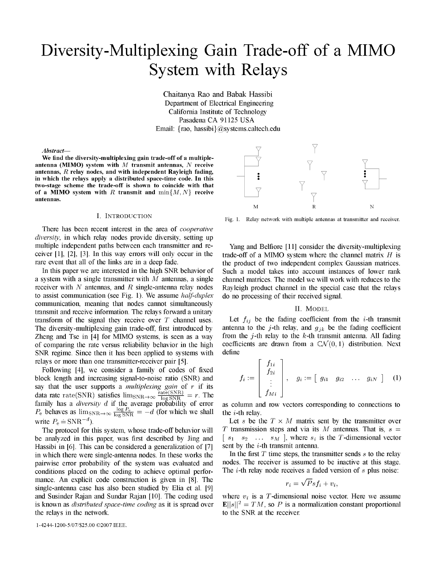# Diversity-Multiplexing Gain Trade-off of <sup>a</sup> MIMO System with Relays

Chaitanya Rao and Babak Hassibi Department of Electrical Engineering California Institute of Technology Pasadena CA 91125 USA Email: {rao, hassibi}@systems.caltech.edu

## Abstract-

We find the diversity-multiplexing gain trade-off of <sup>a</sup> multipleantenna (MIMO) system with  $M$  transmit antennas,  $N$  receive antennas,  $R$  relay nodes, and with independent Rayleigh fading, in which the relays apply a distributed space-time code. In this two-stage scheme the trade-off is shown to coincide with that X of a MIMO system with R transmit and  $\min\{M, N\}$  receive antennas.

There has been recent interest in the area of *cooperative* diversity, in which relay nodes provide diversity, setting up multiple independent paths between each transmitter and re- Yang and Belfiore [11] consider the diversity-multiplexing

to assist communication (see Fig. 1). We assume *half-duplex* do no processing of their received signal. communication, meaning that nodes cannot simultaneously<br>transmit and receive information. The relays forward a unitary II. MODEL transmit and receive information. The relays forward a unitary transform of the signal they receive over T channel uses. Let  $f_{ij}$  be the fading coefficient from the *i*-th transmit of comparing the rate versus reliability behavior in the high SNR regime. Since then it has been applied to systems with define relays or more than one transmitter-receiver pair [5].

Following [4], we consider a family of codes of fixed block length and increasing signal-to-noise ratio (SNR) and say that the user supports a *multiplexing gain* of r if its data rate rate(SNR) satisfies  $\lim_{SNR \to \infty} \frac{\text{rate(SNR)}}{\log SNR} = r$ . The data rate rate(SNR) satisfies  $\lim_{SNR\to\infty} \frac{\text{rate}(SNR)}{\log SNR} = r$ . The  $\left[\begin{array}{cc} f_{Mi} \end{array}\right]$ <br>family has a *diversity d* if the average probability of error as column and row vectors corresponding to connections to  $P_e$  behaves as  $\lim_{\text{SNR}\to\infty} \frac{\log P_e}{\log \text{SNR}} = -d$  (for which we shall the *i*-th relay.  $P_e$  behaves as  $\lim_{N \to \infty} \frac{\log \sin R}{\log \sin R} = -d$  (for which we shall the *i*-th relay.<br>
Let s be the  $T \times M$  matrix sent by the transmitter over<br>
The protocol for this system, whose trade-off behavior will T transmission step

be analyzed in this paper, was first described by Jing and  $[s_1 \ s_2 \ \ldots \ s_M]$ , where  $s_i$  is the T-dimensional vector of T-dimensional vectors of T-dimensional vectors is the T-dimensional vectors. Hassibi in [6]. This can be considered a generalization of [7] sent by the i-th transmit antenna.<br>in which there were single-antenna nodes In these works the In the first T time steps, the transmitter sends s to the relay in which there were single-antenna nodes. In these works the In the first  $T$  time steps, the transmitter sends  $s$  to the relay pairwise error probability of the system was evaluated and nodes. The receiver is assumed to pairwise error probability of the system was evaluated and nodes. The receiver is assumed to be inactive at this stage.<br>conditions placed on the coding to achieve optimal perfor-<br>The *i*-th relay node receives a faded vers conditions placed on the coding to achieve optimal performance. An explicit code construction is given in [8]. The single-antenna case has also been studied by Elia et al.  $[9]$ and Susinder Rajan and Sundar Rajan [10]. The coding used where  $v_i$  is a T-dimensional noise vector. Here we assume the relays in the network. the state is the SNR at the receiver.

1-4244-1200-5/07/\$25.00 ©2007 IEEE.



I. INTRODUCTION Fig. 1. Relay network with multiple antennas at transmitter and receiver.

ceiver [1], [2], [3]. In this way errors will only occur in the trade-off of a MIMO system where the channel matrix  $H$  is rare event that all of the links are in a deep fade. the product of two independent complex Gaussian matrices. In this paper we are interested in the high SNR behavior of Such <sup>a</sup> model takes into account instances of lower rank a system with a single transmitter with  $M$  antennas, a single channel matrices. The model we will work with reduces to the receiver with N antennas, and R single-antenna relay nodes Rayleigh product channel in the special case that the relays

The diversity-multiplexing gain trade-off, first introduced by antenna to the j-th relay, and  $g_{jk}$  be the fading coefficient Zheng and Tse in [4] for MIMO systems, is seen as a way from the j-th relay to the k-th transmit antenna. All fading of comparing the rate versus reliability behavior in the high coefficients are drawn from a  $CN(0,1)$  dis

$$
f_i := \left[\begin{array}{c} f_{1i} \\ f_{2i} \\ \vdots \\ f_{Mi} \end{array}\right], \quad g_i := \left[\begin{array}{cccc} g_{i1} & g_{i2} & \dots & g_{iN} \end{array}\right] \quad (1)
$$

The protocol for this system, whose trade-off behavior will T transmission steps and via its M antennas. That is,  $s =$ <br>analyzed in this paper, was first described by Jing and  $[s_1 \ s_2 \ \ldots \ s_M]$ , where  $s_i$  is the T-dimensi

$$
r_i = \sqrt{P} s f_i + v_i,
$$

is known as *distributed space-time coding* as it is spread over  $\mathbb{E}||s||^2 = TM$ , so P is a normalization constant proportional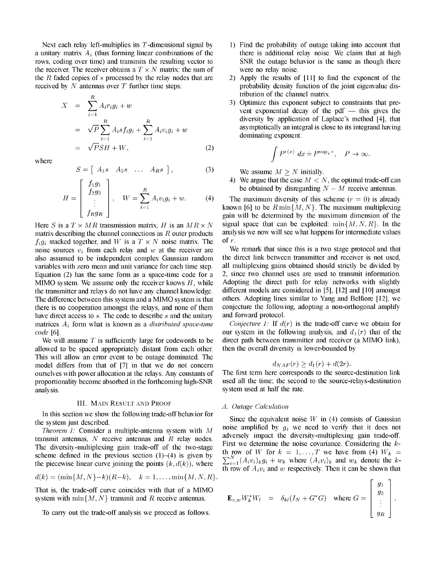Next each relay left-multiplies its T-dimensional signal by 1) Find the probability of outage taking into account that a unitary matrix  $A_i$  (thus forming linear combinations of the there is additional relay noise. We claim that at high rows, coding over time) and transmits the resulting vector to SNR the outage behavior is the same as though there the receiver. The receiver obtains a  $T \times N$  matrix: the sum of were no relay noise.<br>the R faded copies of s processed by the relay nodes that are 2) Apply the results of received by  $N$  antennas over  $T$  further time steps: probability density function of the joint eigenvalue dis-

$$
X = \sum_{i=1}^{R} A_i r_i g_i + w
$$
  
\n
$$
= \sqrt{P} \sum_{i=1}^{R} A_i s f_i g_i + \sum_{i=1}^{R} A_i v_i g_i + w
$$
  
\n
$$
= \sqrt{P} S H + W,
$$
 (2)  
\nwhere  
\n
$$
S = \begin{bmatrix} A_1 s & A_2 s & \dots & A_R s \end{bmatrix},
$$
 (3)

$$
S = [A_1s \quad A_2s \quad \dots \quad A_Rs], \tag{3}
$$

$$
H = \begin{bmatrix} f_1g_1 \\ f_2g_2 \\ \vdots \\ f_Rg_R \end{bmatrix}, \quad W = \sum_{i=1}^R A_i v_i g_i + w. \tag{4}
$$

matrix describing the channel connections as R outer products analy<br>figure stacked together and W is a  $T \times N$  noise matrix. The of r.  $f_i g_i$  stacked together, and W is a  $T \times N$  noise matrix. The of r.<br>noise sources  $v_i$  from each relay and w at the receiver are We remark that since this is a two stage protocol and that noise sources  $v_i$  from each relay and w at the receiver are We remark that since this is a two stage protocol and that also assumed to be independent complex Gaussian random the direct link between transmitter and receiv also assumed to be independent complex Gaussian random the direct link between transmitter and receiver is not used, variables with zero mean and unit variance for each time step. all multiplexing gains obtained should str variables with zero mean and unit variance for each time step. all multiplexing gains obtained should strictly be divided by<br>Equation (2) has the same form as a space-time code for a 2, since two channel uses are used to t Equation (2) has the same form as a space-time code for a  $\alpha$  2, since two channel uses are used to transmit information.<br>MIMO system, We assume only the receiver knows H, while Adopting the direct path for relay network MIMO system. We assume only the receiver knows  $H$ , while the transmitter and relays do not have any channel knowledge. different models are considered in [5], [12] and [10] amongst The difference between this system and a MIMO system is that others. Adopting lines similar to Yang and Belfiore [12], we there is no cooperation amongst the relays, and none of them conjecture the following, adopting a no there is no cooperation amongst the relays, and none of them have direct access to  $s$ . The code to describe  $s$  and the unitary and forward protocol. matrices  $A_i$  form what is known as a *distributed space-time* Conjecture 1: If  $d(r)$  is the trade-off curve we obtain for code [6]. our system in the following analysis, and  $d_1(r)$  that of the

allowed to be spaced appropriately distant from each other. This will allow an error event to be outage dominated. The model differs from that of [7] in that we do not concern<br>ourselves with power allocation at the relays. Any constants of The first term here corresponds to the source-destination link ourselves with power allocation at the relays. Any constants of analysis. system used at half the rate.

## III. MAIN RESULT AND PROOF A. Outage Calculation

In this section we show the following trade-off behavior for the system just described.

The diversity-multiplexing gain trade-off of the two-stage scheme defined in the previous section (1)-(4) is given by  $\sum_{i=1}^{N} (A_i y_i)_{i} a_i + y_i$ , where  $(A_i y_i)_{i}$  and  $y_i$  denote the k

$$
d(k) = (\min\{M, N\} - k)(R - k), \quad k = 1, \dots, \min\{M, N, R\}.
$$

That is, the trade-off curve coincides with that of a MIMO

To carry out the trade-off analysis we proceed as follows.

- 
- 2) Apply the results of  $[11]$  to find the exponent of the tribution of the channel matrix.
- 3) Optimize this exponent subject to constraints that prevent exponential decay of the pdf  $-$  this gives the diversity by application of Laplace's method [4], that asymptotically an integral is close to its integrand having dominating exponent:

$$
\int P^{\epsilon(x)} dx = P^{\sup_x \epsilon}, \quad P \to \infty.
$$

We assume  $M > N$  initially.

4) We argue that the case  $M < N$ , the optimal trade-off can be obtained by disregarding  $N - M$  receive antennas.<br>(b) The maximum diversity of this scheme  $(r = 0)$  is alread

The maximum diversity of this scheme ( $r = 0$ ) is already known [6] to be  $R \min\{M, N\}$ . The maximum multiplexing gain will be determined by the maximum dimension of the Here S is a  $T \times MR$  transmission matrix, H is an  $MR \times N$  signal space that can be exploited: min{M, N, R}. In the matrix describing the channel connections as R outer products analysis we now will see what happens for inter

We will assume  $T$  is sufficiently large for codewords to be direct path between transmitter and receiver (a MIMO link), owed to be spaced appropriately distant from each other. then the overall diversity is lower-bounded

$$
d_{NAF}(r) \geq d_1(r) + d(2r).
$$

proportionality become absorbed in the forthcoming high-SNR used all the time; the second to the source-relays-destination

Since the equivalent noise W in (4) consists of Gaussian noise amplified by  $q_i$  we need to verify that it does not *Theorem 1:* Consider a multiple-antenna system with M holds amplified by  $g_i$  we need to verify that it does not not approximate and  $R$  matrix and adversely impact the diversity-multiplexing gain trade-off. transmit antennas, N receive antennas and R relay nodes.<br>The diversity impact the diversity-multiplexing gain trade-off. The diversity-multiplexing gain trade-off. The diversity multiplexing gain trade-off. of the two ste The diversity-multiplexing gain trade-off of the two-stage<br>change defined in the previous section (1) (4) is given by the row of W for  $k = 1, ..., T$  we have from (4)  $W_k$  = the piecewise linear curve joining the points  $(k, d(k))$ , where  $\sum_{i=1}^{N} (A_i v_i)_k g_i + w_k$  where  $(A_i v_i)_k$  and  $w_k$  denote the kth row of  $A_i v_i$  and w respectively. Then it can be shown that

system with min{M, N} transmit and <sup>R</sup> receive antennas. 6k1WA\*I¢(IN±+G\*G) where G [I <sup>I</sup>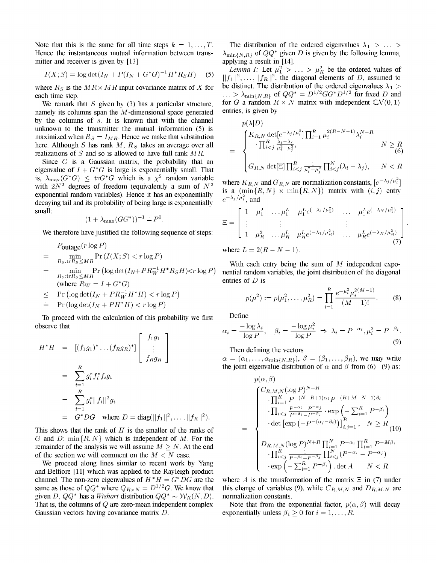Hence the instantaneous mutual information between trans- $\lambda_{\min\{N,R\}}$  of  $QQ^*$  given D is given by the following lemma, mitter and receiver is given by [13] applying a result in [14].

$$
I(X; S) = \log \det(I_N + P(I_N + G^*G)^{-1}H^*R_S H)
$$
 (5)

each time step.  $\cdots > \lambda_{\min\{N,R\}}$  of  $QQ^* = D^{1/2}GG^* D^{1/2}$  for fixed D and

namely its columns span the  $M$ -dimensional space generated by the columns of  $s$ . It is known that with the channel unknown to the transmitter the mutual information  $(5)$  is maximized when  $R_S = I_{MR}$ . Hence we make that substitution here. Although S has rank M,  $R_S$  takes an average over all negligible and  $R_S$  and  $R_S$  and  $R_S$  is allowed to have full math  $MP$ realizations of  $S$  and so is allowed to have full rank  $MR$ .

Since  $G$  is a Gaussian matrix, the probability that an eigenvalue of  $I + G^*G$  is large is exponentially small. That is,  $\lambda_{\text{max}}(G^*G) \le \text{tr}G^*G$  which is a  $\chi^2$  random variable<br>with 2  $\chi^2$  degrees of freedom (equivalently 2 sum of  $N^2$  where  $K_{R,N}$  and  $G_{R,N}$  are normalization constants,  $[e^{-\lambda_j/\mu_i^2}]$ where  $K_{R,N}$  and  $G_{R,N}$  are normalization constants,  $[e^{i\pi k}]$ <br>exponential random variables). Hence it has an exponentially is a  $(\min\{R,N\} \times \min\{R,N\})$  matrix with  $(i, j)$  entry exponential random variables). Hence it has an exponentially  $e^{-\lambda_j/\mu_i^2}$ , and decaying tail and its probability of being large is exponentially small:  $\left[1 \mu_1^2 \ldots \mu_1^L \mu_1^{L} e^{(-\lambda_1/\mu_1^2)} \ldots \mu_1^{L} e^{(-\lambda_N/\mu_1^2)}\right]$ 

$$
(1 + \lambda_{\max}(GG^*))^{-1} = P^0.
$$

$$
P_{\text{outage}}(r \log P)
$$
\n
$$
= \min_{R_S: \text{tr}R_S \le MR} \Pr(I(X; S) < r \log P)
$$
\n
$$
= \min_{R_S: \text{tr}R_S \le MR} \Pr\left(\log \det(I_N + PR_W^{-1}H^*R_SH) < r \log P\right) \quad \text{With each en } R_S: \text{tr}R_S \le MR} \Pr\left(\log \det(I_N + PR_W^{-1}H^*R_SH) < r \log P\right) \quad \text{in this of } D \text{ is } R_S: \text{tr}R_S \le MR
$$

$$
\leq
$$
 Pr  $(\log \det(I_N + PR_W^{-1}H^*H) < r \log P)$ 

$$
= \Pr(\log \det(I_N + PH^*H) < r \log P)
$$

To proceed with the calculation of this probability we first Define observe that  $\alpha_i = \frac{-\log \lambda_i}{\beta_i}$   $\beta_i = \frac{-\log \mu_i^2}{\beta_i}$ 

$$
H^*H = [(f_1g_1)^* \dots (f_Rg_R)^*] \begin{bmatrix} f_1g_1 \\ \vdots \\ f_Rg_R \end{bmatrix}
$$
  
\n
$$
= \sum_{i=1}^R g_i^* f_i^* f_i g_i
$$
  
\n
$$
= \sum_{i=1}^R g_i^* ||f_i||^2 g_i
$$
  
\n
$$
= G^*DG \text{ where } D = \text{diag}(||f_1||^2 \qquad ||f_P||^2)
$$
  
\n
$$
= \prod_{i=1}^R f_i^* D G \text{ where } D = \text{diag}(||f_1||^2 \qquad ||f_P||^2)
$$
  
\n
$$
= \prod_{i=1}^R \sum_{j=1}^{P-\alpha_i} P^{-(N-R+i)} \cdot \prod_{i
$$

This shows that the rank of  $H$  is the smaller of the ranks of G and D: min $\{R, N\}$  which is independent of M. For the remainder of the analysis we will assume  $M > N$ . At the end of the section we will comment on the  $M < N$  case.

We proceed along lines similar to recent work by Yang and Belfiore  $[11]$  which was applied to the Rayleigh product channel. The non-zero eigenvalues of  $H^*H = G^*DG$  are the where A is the transformation of the matrix  $\Xi$  in (7) under same as those of  $QQ^*$  where  $Q_{R\times N} = D^{1/2}G$ . We know that this change of variables (9), while  $C_{R,M,N}$  and  $D_{R,M,N}$  are given D,  $QQ^*$  has a Wishart distribution  $QQ^* \sim W_R(N, D)$ . normalization constants. That is, the columns of Q are zero-mean independent complex Note that from the exponential factor,  $p(\alpha, \beta)$  will decay Gaussian vectors having covariance matrix D. exponentially unless  $\beta_i \geq 0$  for  $i = 1, ..., R$ .

Note that this is the same for all time steps  $k = 1, \ldots, T$ . The distribution of the ordered eigenvalues  $\lambda_1 > \ldots >$ 

*Lemma 1:* Let  $\mu_1^2 > \ldots > \mu_R^2$  be the ordered values of  $||f_1||^2, \ldots, ||f_R||^2$ , the diagonal elements of D, assumed to where  $R_s$  is the  $MR \times MR$  input covariance matrix of X for be distinct. The distribution of the ordered eigenvalues  $\lambda_1 >$ We remark that S given by (3) has a particular structure, for G a random  $R \times N$  matrix with independent  $\mathbb{C}\mathcal{N}(0, 1)$ <br>mely its columns span the M-dimensional space generated entries, is given by

$$
p(\lambda|D) = \begin{cases} K_{R,N} \det[e^{-\lambda_j/\mu_i^2}] \prod_{i=1}^R \mu_i^{2(R-N-1)} \lambda_i^{N-R} \\ \cdot \prod_{i < j}^R \frac{\lambda_i - \lambda_j}{\mu_i^2 - \mu_j^2}, & N \ge R \\ G_{R,N} \det[\Xi] \prod_{i < j}^R \frac{1}{\mu_i^2 - \mu_j^2} \prod_{i < j}^N (\lambda_i - \lambda_j), & N < R \end{cases}
$$

all:  
\n
$$
(1 + \lambda_{\max}(GG^*))^{-1} = P^0.
$$
\n
$$
\Xi = \begin{bmatrix}\n1 & \mu_1^2 & \dots & \mu_1^L & \mu_1^L e^{(-\lambda_1/\mu_1^2)} & \dots & \mu_1^L e^{(-\lambda_N/\mu_1^2)} \\
\vdots & \vdots & \ddots & \vdots \\
1 & \mu_R^2 & \dots & \mu_R^L & \mu_R^L e^{(-\lambda_1/\mu_R^2)} & \dots & \mu_R^L e^{(-\lambda_N/\mu_R^2)}\n\end{bmatrix}
$$
\n
$$
P_{\text{outage}}(r \log P) \qquad \text{where } I = 2(P - N - 1)
$$
\n(7)

where  $L = 2(R-N-1)$ .

With each entry being the sum of  $M$  independent expo-) nential random variables, the joint distribution of the diagonal

(where 
$$
K_W = I + G^*G
$$
)\n
$$
\leq \Pr\left(\log \det(I_N + PR_W^{-1}H^*H) < r\log P\right)
$$
\n
$$
\Rightarrow \Pr\left(\log \det(I_N + PH^*H) < r\log P\right)
$$
\n
$$
p(\mu^2) := p(\mu_1^2, \ldots, \mu_R^2) = \prod_{i=1}^R \frac{e^{-\mu_i^2} \mu_i^{2(M-1)}}{(M-1)!}.
$$
\n(8)

$$
\alpha_i = \frac{-\log \lambda_i}{\log P}, \quad \beta_i = \frac{-\log \mu_i^2}{\log P} \Rightarrow \lambda_i = P^{-\alpha_i}, \mu_i^2 = P^{-\beta_i}.
$$
\n(9)

## Then defining the vectors

 $\alpha = (\alpha_1, \ldots, \alpha_{\min\{N,R\}}), \ \beta = (\beta_1, \ldots, \beta_R),$  we may write the joint eigenvalue distribution of  $\alpha$  and  $\beta$  from (6)– (9) as:

$$
= \sum_{i=1}^{R} g_i^* ||f_i||^2 g_i
$$
\n
$$
= G^*DG \text{ where } D = \text{diag}(||f_1||^2, \dots, ||f_R||^2).
$$
\n
$$
= G^*DG \text{ where } D = \text{diag}(||f_1||^2, \dots, ||f_R||^2).
$$
\n
$$
\text{with the rank of } H \text{ is the smaller of the ranks of}
$$
\n
$$
\text{with } \text{ sum } M \geq N. \text{ At the end}
$$
\n
$$
\text{with } \text{ sum } M < N \text{ case.}
$$
\n
$$
\text{and } \text{ sum } \text{ with } \text{ sum } \text{ with } \text{ sum } \text{ with } \text{ sum } \text{ with } \text{ sum } \text{ with } \text{ sum } \text{ with } \text{ sum } \text{ with } \text{ sum } \text{ with } \text{ sum } \text{ with } \text{ sum } \text{ with } \text{ sum } \text{ with } \text{ sum } \text{ with } \text{ sum } \text{ with } \text{ sum } \text{ with } \text{ sum } \text{ with } \text{ sum } \text{ with } \text{ sum } \text{ with } \text{ sum } \text{ with } \text{ sum } \text{ with } \text{ sum } \text{ with } \text{ sum } \text{ with } \text{ sum } \text{ with } \text{ sum } \text{ with } \text{ sum } \text{ with } \text{ sum } \text{ with } \text{ sum } \text{ with } \text{ sum } \text{ with } \text{ sum } \text{ with } \text{ sum } \text{ with } \text{ sum } \text{ with } \text{ sum } \text{ with } \text{ sum } \text{ with } \text{ sum } \text{ with } \text{ sum } \text{ with } \text{ sum } \text{ with } \text{ sum } \text{ with } \text{ sum } \text{ with } \text{ sum } \text{ with } \text{ sum } \text{ with } \text{ sum } \text{ with } \text{ sum } \text{ with } \text{ sum } \text{ with } \text{ sum } \text{ with } \text{ sum } \text{ with } \text{ sum } \text{ with } \text{ sum } \text{ with } \text{ sum } \text{ with } \text{ sum } \text{ with } \text{ sum } \text{ with } \text{ sum } \text{ with } \text{ sum } \text{ with } \text{ sum } \text{ with } \text{ sum } \text{ with } \text{ sum } \text{ with } \text{ sum } \
$$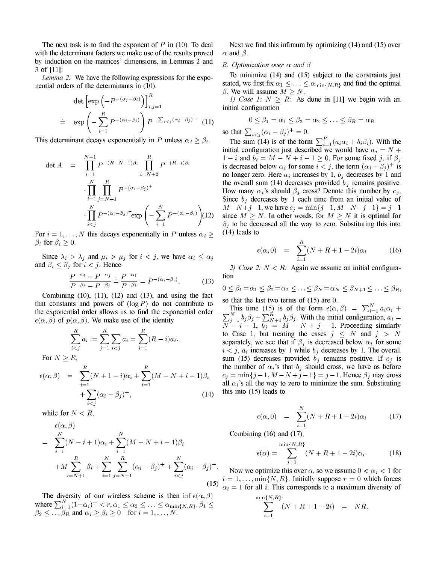with the determinant factors we make use of the results proved  $\alpha$  and  $\beta$ . by induction on the matrices' dimensions, in Lemmas 2 and B. Optimization over  $\alpha$  and  $\beta$  3 of [11]:

nential orders of the determinants in (10). Stated, we first fix  $\alpha_1 \leq \ldots \leq \alpha_{\min\{N,R\}}$  and find the optimal

$$
\det \left[ \exp \left( -P^{-(\alpha_j - \beta_i)} \right) \right]_{i,j=1}^R
$$
\n
$$
= \exp \left( -\sum_{i=1}^R P^{-(\alpha_i - \beta_i)} \right) P^{-\sum_{i < j} (\alpha_i - \beta_j)^+} \quad (11)
$$
\nThis determinant decays exponentially in *P* unless  $\alpha_i \geq \beta_i$ . The sum (14) is of the form  $\sum_{i}^R (a_i \alpha_i + b_i \beta_i)$ .

$$
\det A = \prod_{i=1}^{N+1} P^{-(R-N-1)\beta_i} \prod_{i=N+2}^{R} P^{-(R-i)\beta_i}
$$

$$
\cdot \prod_{i=1}^{N} \prod_{j=N+1}^{R} P^{-(\alpha_i - \beta_j)^+}
$$

$$
\cdot \prod_{i
$$

For  $i = 1, ..., N$  this decays exponentially in P unless  $\alpha_i \geq (14)$  leads to  $\beta_i$  for  $\beta_i \geq 0$ .

Since  $\lambda_i > \lambda_j$  and  $\mu_i > \mu_j$  for  $i < j$ , we have  $\alpha_i \leq \alpha_j$ and  $\beta_i \leq \beta_j$  for  $i < j$ . Hence 2) Case 2:  $N < R$ : Again we assume an initial configura-

$$
\frac{P^{-\alpha_i} - P^{-\alpha_j}}{P^{-\beta_i} - P^{-\beta_j}} = \frac{P^{-\alpha_i}}{P^{-\beta_i}} = P^{-(\alpha_i - \beta_i)}.\tag{13}
$$
 
$$
\text{to} \quad 0 \le \beta_1 = \alpha_1 \le \beta_2 = \alpha_2 \le.
$$

Combining (10), (11), (12) and (13), and using the fact so that the last two terms of (15) are 0.<br>that constants and powers of ( $log P$ ) do not contribute to that constants and powers of  $(\log P)$  do not contribute to so that the fast two terms of  $(15)$  at  $\cos \theta$ .<br>This time (15) is of the form  $\epsilon(\alpha, \beta) = \sum_{i=1}^{N} a_i \alpha_i +$ the exponential order allows us to find the exponential order  $\epsilon(\alpha, \beta)$  of  $p(\alpha, \beta)$ . We make use of the identity

$$
\sum_{i < j}^{R} a_i := \sum_{j=1}^{R} \sum_{i < j} a_i = \sum_{i=1}^{R} (R - i) a_i.
$$

$$
\epsilon(\alpha, \beta) = \sum_{i=1}^{R} (N+1-i)\alpha_i + \sum_{i=1}^{R} (M-N+i-1)\beta_i + \sum_{i < j} (\alpha_i - \beta_j)^+, \tag{14}
$$

$$
\epsilon(\alpha, \beta) \qquad \text{Combining (16) and (17),}
$$
\n
$$
= \sum_{i=1}^{N} (N - i + 1)\alpha_i + \sum_{i=1}^{N} (M - N + i - 1)\beta_i
$$
\n
$$
+ M \sum_{i=N+1}^{R} \beta_i + \sum_{i=1}^{N} \sum_{j=N+1}^{R} (\alpha_i - \beta_j)^+ + \sum_{i < j}^{N} (\alpha_i - \beta_j)^+.
$$
\nNow we optimize this over 
$$
i = 1, ..., \min\{N, R\}.
$$
 Initial 
$$
i = 1, ..., \min\{N, R\}.
$$
 Initial 
$$
i = 1, ..., \min\{N, R\}.
$$

The diversity of our wireless scheme is then inf  $\epsilon(\alpha,\beta)$  m where  $\sum_{i=1}^{N} (1-\alpha_i)^+ < r, \alpha_1 \leq \alpha_2 \leq \ldots \leq \alpha_{\min\{N,R\}}, \beta_1 \leq \beta_2 \leq \ldots \beta_R$  and  $\alpha_i \geq \beta_i \geq 0$  for  $i = 1, \ldots, N$ .

The next task is to find the exponent of P in (10). To deal Next we find this infimum by optimizing (14) and (15) over

*Lemma 2*: We have the following expressions for the expo-<br>
To minimize (14) and (15) subject to the constraints just  $\beta$ . We will assume  $M > N$ .

> 1) Case 1:  $N > R$ . As done in [11] we begin with an initial configuration

$$
0 \le \beta_1 = \alpha_1 \le \beta_2 = \alpha_2 \le \ldots \le \beta_R = \alpha_R
$$

The sum (14) is of the form  $\sum_{i=1}^{R} (a_i \alpha_i + b_i \beta_i)$ . With the initial configuration just described we would have  $a_i = N +$  $1-i$  and  $b_i=M-N+i-1\geq 0$ . For some fixed j, if  $\beta_j$ is decreased below  $\alpha_i$  for some  $i < j$ , the term  $(\alpha_i - \beta_j)^+$  is no longer zero. Here  $a_i$  increases by 1,  $b_j$  decreases by 1 and the overall sum (14) decreases provided  $b_j$  remains positive. How many  $\alpha_i$ 's should  $\beta_j$  cross? Denote this number by  $c_j$ . Since  $b_j$  decreases by 1 each time from an initial value of  $M-N+j-1$ , we have  $c_j = \min\{j-1, M-N+j-1\} = j-1$ since  $M > N$ . In other words, for  $M > N$  it is optimal for  $\beta_i$  to be decreased all the way to zero. Substituting this into

$$
\epsilon(\alpha,0) = \sum_{i=1}^{R} (N+R+1-2i)\alpha_i \tag{16}
$$

$$
0 \leq \beta_1 = \alpha_1 \leq \beta_2 = \alpha_2 \leq \ldots \leq \beta_N = \alpha_N \leq \beta_{N+1} \leq \ldots \leq \beta_R,
$$

 $\epsilon(\alpha, \beta)$  of  $p(\alpha, \beta)$ . We make use of the identity  $\sum_{j=1}^{N} b_j \beta_j + \sum_{N+1}^{N} b_j \beta_j$ . With the initial configuration,  $a_i = N - i + 1$ ,  $b_j = M - N + j - 1$ . Proceeding similarly to Case 1, but treating the cases  $j \leq N$  and  $j > N$ separately, we see that if  $\beta_j$  is decreased below  $\alpha_i$  for some  $i < j$ ,  $a_i$  increases by 1 while  $b_j$  decreases by 1. The overall For  $N \ge R$ , sum (15) decreases provided  $b_j$  remains positive. If  $c_j$  is the number of  $\alpha_i$ 's that  $b_j$  should cross, we have as before  $c_j = \min\{j-1, M-N+j-1\} = j-1$ . Hence  $\beta_j$  may cross all  $\alpha_i$ 's all the way to zero to minimize the sum. Substituting this into  $(15)$  leads to

while for 
$$
N < R
$$
,  $\epsilon(\alpha, \beta)$   $= \sum_{i=1}^{N} (N + R + 1 - 2i)\alpha_i$  (17)

Combining  $(16)$  and  $(17)$ ,

$$
= i + 1)a_i + \sum_{i=1}^{N} (M - N + i - 1)\beta_i
$$
\n
$$
\epsilon(\alpha) = \sum_{i=1}^{\min\{N,R\}} (N + R + 1 - 2i)\alpha_i.
$$
\n(18)

Now we optimize this over  $\alpha$ , so we assume  $0 < \alpha_i < 1$  for  $i = 1, \ldots, \min\{N, R\}$ . Initially suppose  $r = 0$  which forces  $\alpha_i = 1$  for all i. This corresponds to a maximum diversity of

$$
\sum_{i=1}^{\ln\{N,R\}} (N+R+1-2i) = NR.
$$